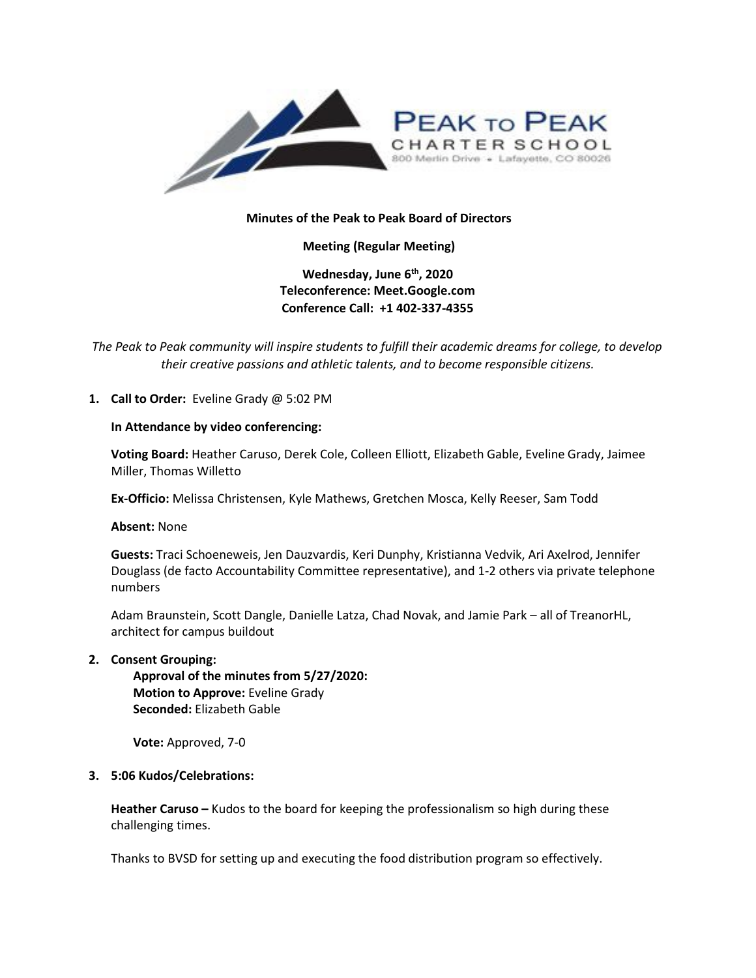

# **Minutes of the Peak to Peak Board of Directors**

**Meeting (Regular Meeting)**

**Wednesday, June 6th, 2020 Teleconference: Meet.Google.com Conference Call: +1 402-337-4355** 

*The Peak to Peak community will inspire students to fulfill their academic dreams for college, to develop their creative passions and athletic talents, and to become responsible citizens.*

# **1. Call to Order:** Eveline Grady @ 5:02 PM

## **In Attendance by video conferencing:**

**Voting Board:** Heather Caruso, Derek Cole, Colleen Elliott, Elizabeth Gable, Eveline Grady, Jaimee Miller, Thomas Willetto

**Ex-Officio:** Melissa Christensen, Kyle Mathews, Gretchen Mosca, Kelly Reeser, Sam Todd

**Absent:** None

**Guests:** Traci Schoeneweis, Jen Dauzvardis, Keri Dunphy, Kristianna Vedvik, Ari Axelrod, Jennifer Douglass (de facto Accountability Committee representative), and 1-2 others via private telephone numbers

Adam Braunstein, Scott Dangle, Danielle Latza, Chad Novak, and Jamie Park – all of TreanorHL, architect for campus buildout

**2. Consent Grouping:**

**Approval of the minutes from 5/27/2020: Motion to Approve:** Eveline Grady **Seconded:** Elizabeth Gable

**Vote:** Approved, 7-0

# **3. 5:06 Kudos/Celebrations:**

**Heather Caruso –** Kudos to the board for keeping the professionalism so high during these challenging times.

Thanks to BVSD for setting up and executing the food distribution program so effectively.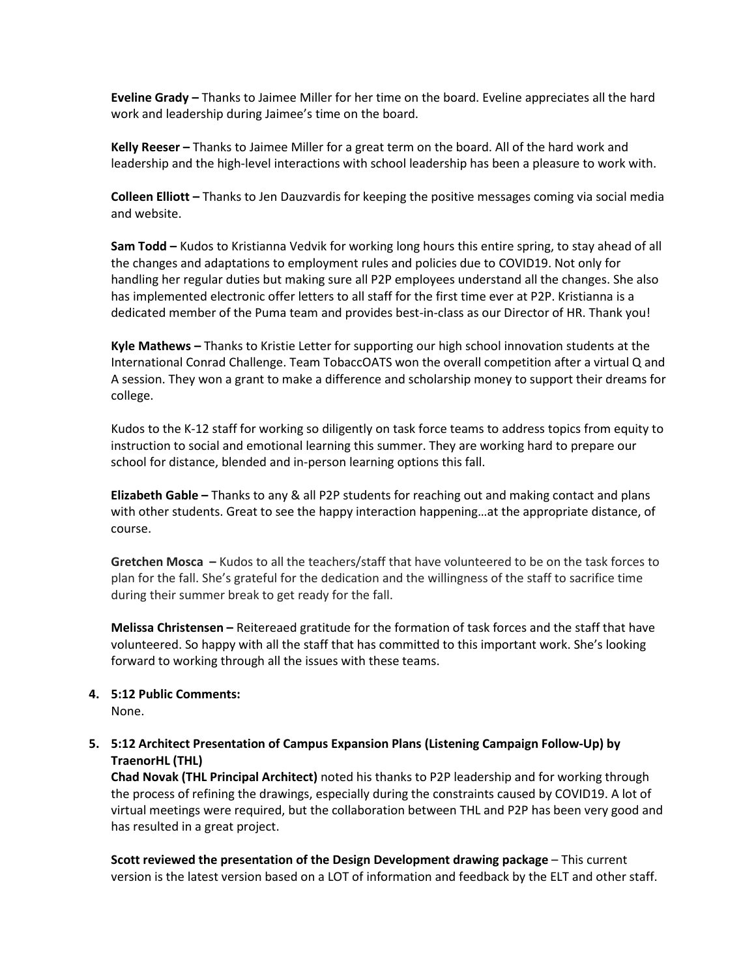**Eveline Grady –** Thanks to Jaimee Miller for her time on the board. Eveline appreciates all the hard work and leadership during Jaimee's time on the board.

**Kelly Reeser –** Thanks to Jaimee Miller for a great term on the board. All of the hard work and leadership and the high-level interactions with school leadership has been a pleasure to work with.

**Colleen Elliott –** Thanks to Jen Dauzvardis for keeping the positive messages coming via social media and website.

**Sam Todd –** Kudos to Kristianna Vedvik for working long hours this entire spring, to stay ahead of all the changes and adaptations to employment rules and policies due to COVID19. Not only for handling her regular duties but making sure all P2P employees understand all the changes. She also has implemented electronic offer letters to all staff for the first time ever at P2P. Kristianna is a dedicated member of the Puma team and provides best-in-class as our Director of HR. Thank you!

**Kyle Mathews –** Thanks to Kristie Letter for supporting our high school innovation students at the International Conrad Challenge. Team TobaccOATS won the overall competition after a virtual Q and A session. They won a grant to make a difference and scholarship money to support their dreams for college.

Kudos to the K-12 staff for working so diligently on task force teams to address topics from equity to instruction to social and emotional learning this summer. They are working hard to prepare our school for distance, blended and in-person learning options this fall.

**Elizabeth Gable –** Thanks to any & all P2P students for reaching out and making contact and plans with other students. Great to see the happy interaction happening…at the appropriate distance, of course.

**Gretchen Mosca –** Kudos to all the teachers/staff that have volunteered to be on the task forces to plan for the fall. She's grateful for the dedication and the willingness of the staff to sacrifice time during their summer break to get ready for the fall.

**Melissa Christensen –** Reitereaed gratitude for the formation of task forces and the staff that have volunteered. So happy with all the staff that has committed to this important work. She's looking forward to working through all the issues with these teams.

**4. 5:12 Public Comments:** 

None.

# **5. 5:12 Architect Presentation of Campus Expansion Plans (Listening Campaign Follow-Up) by TraenorHL (THL)**

**Chad Novak (THL Principal Architect)** noted his thanks to P2P leadership and for working through the process of refining the drawings, especially during the constraints caused by COVID19. A lot of virtual meetings were required, but the collaboration between THL and P2P has been very good and has resulted in a great project.

**Scott reviewed the presentation of the Design Development drawing package** – This current version is the latest version based on a LOT of information and feedback by the ELT and other staff.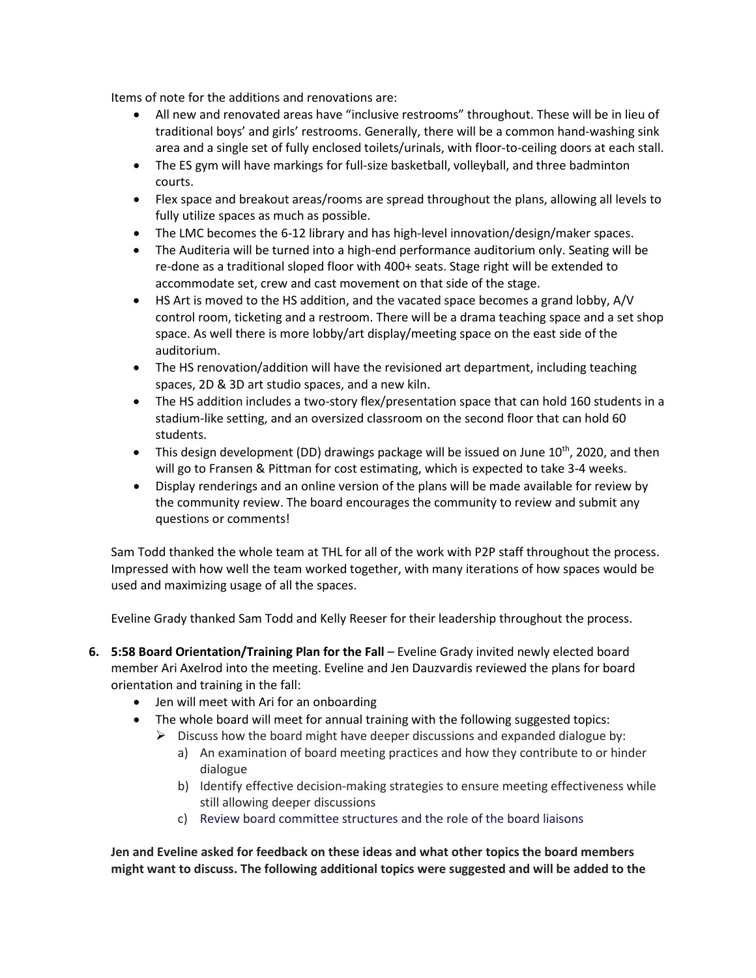Items of note for the additions and renovations are:

- All new and renovated areas have "inclusive restrooms" throughout. These will be in lieu of traditional boys' and girls' restrooms. Generally, there will be a common hand-washing sink area and a single set of fully enclosed toilets/urinals, with floor-to-ceiling doors at each stall.
- The ES gym will have markings for full-size basketball, volleyball, and three badminton courts.
- Flex space and breakout areas/rooms are spread throughout the plans, allowing all levels to fully utilize spaces as much as possible.
- The LMC becomes the 6-12 library and has high-level innovation/design/maker spaces.
- The Auditeria will be turned into a high-end performance auditorium only. Seating will be re-done as a traditional sloped floor with 400+ seats. Stage right will be extended to accommodate set, crew and cast movement on that side of the stage.
- HS Art is moved to the HS addition, and the vacated space becomes a grand lobby, A/V control room, ticketing and a restroom. There will be a drama teaching space and a set shop space. As well there is more lobby/art display/meeting space on the east side of the auditorium.
- The HS renovation/addition will have the revisioned art department, including teaching spaces, 2D & 3D art studio spaces, and a new kiln.
- The HS addition includes a two-story flex/presentation space that can hold 160 students in a stadium-like setting, and an oversized classroom on the second floor that can hold 60 students.
- This design development (DD) drawings package will be issued on June  $10^{th}$ , 2020, and then will go to Fransen & Pittman for cost estimating, which is expected to take 3-4 weeks.
- Display renderings and an online version of the plans will be made available for review by the community review. The board encourages the community to review and submit any questions or comments!

Sam Todd thanked the whole team at THL for all of the work with P2P staff throughout the process. Impressed with how well the team worked together, with many iterations of how spaces would be used and maximizing usage of all the spaces.

Eveline Grady thanked Sam Todd and Kelly Reeser for their leadership throughout the process.

- **6. 5:58 Board Orientation/Training Plan for the Fall** Eveline Grady invited newly elected board member Ari Axelrod into the meeting. Eveline and Jen Dauzvardis reviewed the plans for board orientation and training in the fall:
	- Jen will meet with Ari for an onboarding
	- The whole board will meet for annual training with the following suggested topics:
		- $\triangleright$  Discuss how the board might have deeper discussions and expanded dialogue by:
			- a) An examination of board meeting practices and how they contribute to or hinder dialogue
			- b) Identify effective decision-making strategies to ensure meeting effectiveness while still allowing deeper discussions
			- c) Review board committee structures and the role of the board liaisons

**Jen and Eveline asked for feedback on these ideas and what other topics the board members might want to discuss. The following additional topics were suggested and will be added to the**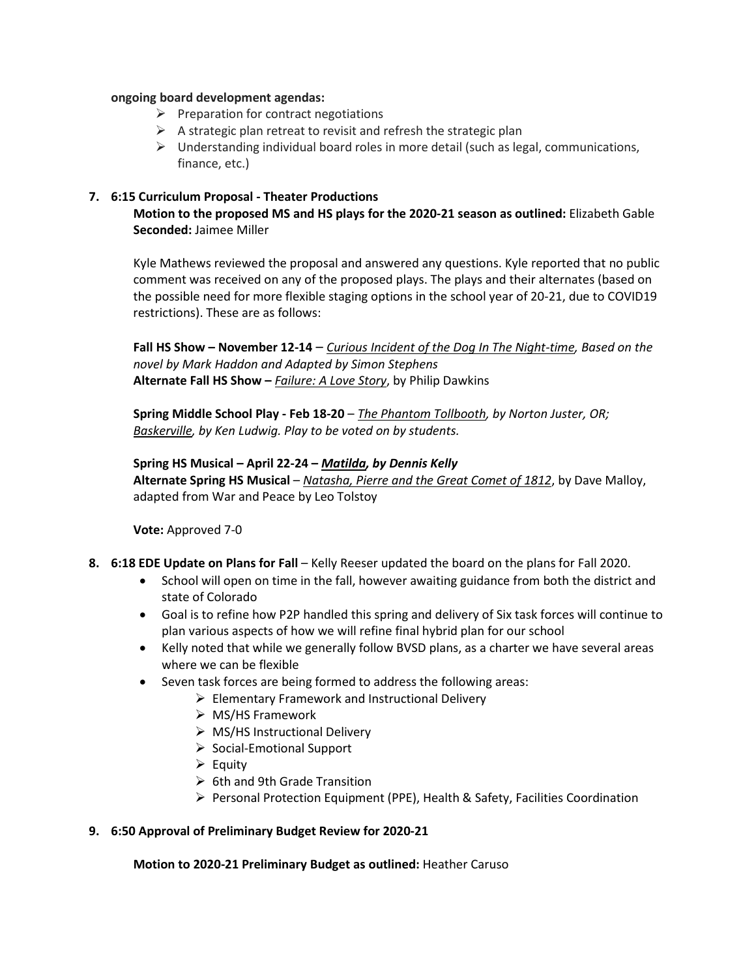## **ongoing board development agendas:**

- $\triangleright$  Preparation for contract negotiations
- $\triangleright$  A strategic plan retreat to revisit and refresh the strategic plan
- $\triangleright$  Understanding individual board roles in more detail (such as legal, communications, finance, etc.)

# **7. 6:15 Curriculum Proposal - Theater Productions**

**Motion to the proposed MS and HS plays for the 2020-21 season as outlined:** Elizabeth Gable **Seconded:** Jaimee Miller

Kyle Mathews reviewed the proposal and answered any questions. Kyle reported that no public comment was received on any of the proposed plays. The plays and their alternates (based on the possible need for more flexible staging options in the school year of 20-21, due to COVID19 restrictions). These are as follows:

**Fall HS Show – November 12-14** – *Curious Incident of the Dog In The Night-time, Based on the novel by Mark Haddon and Adapted by Simon Stephens* **Alternate Fall HS Show –** *Failure: A Love Story*, by Philip Dawkins

**Spring Middle School Play - Feb 18-20** – *The Phantom Tollbooth, by Norton Juster, OR; Baskerville, by Ken Ludwig. Play to be voted on by students.*

**Spring HS Musical – April 22-24 –** *Matilda, by Dennis Kelly* **Alternate Spring HS Musical** – *Natasha, Pierre and the Great Comet of 1812*, by Dave Malloy, adapted from War and Peace by Leo Tolstoy

**Vote:** Approved 7-0

- **8. 6:18 EDE Update on Plans for Fall** Kelly Reeser updated the board on the plans for Fall 2020.
	- School will open on time in the fall, however awaiting guidance from both the district and state of Colorado
	- Goal is to refine how P2P handled this spring and delivery of Six task forces will continue to plan various aspects of how we will refine final hybrid plan for our school
	- Kelly noted that while we generally follow BVSD plans, as a charter we have several areas where we can be flexible
	- Seven task forces are being formed to address the following areas:
		- $\triangleright$  Elementary Framework and Instructional Delivery
		- $\triangleright$  MS/HS Framework
		- $\triangleright$  MS/HS Instructional Delivery
		- $\triangleright$  Social-Emotional Support
		- $\triangleright$  Equity
		- $\triangleright$  6th and 9th Grade Transition
		- $\triangleright$  Personal Protection Equipment (PPE), Health & Safety, Facilities Coordination

# **9. 6:50 Approval of Preliminary Budget Review for 2020-21**

**Motion to 2020-21 Preliminary Budget as outlined:** Heather Caruso